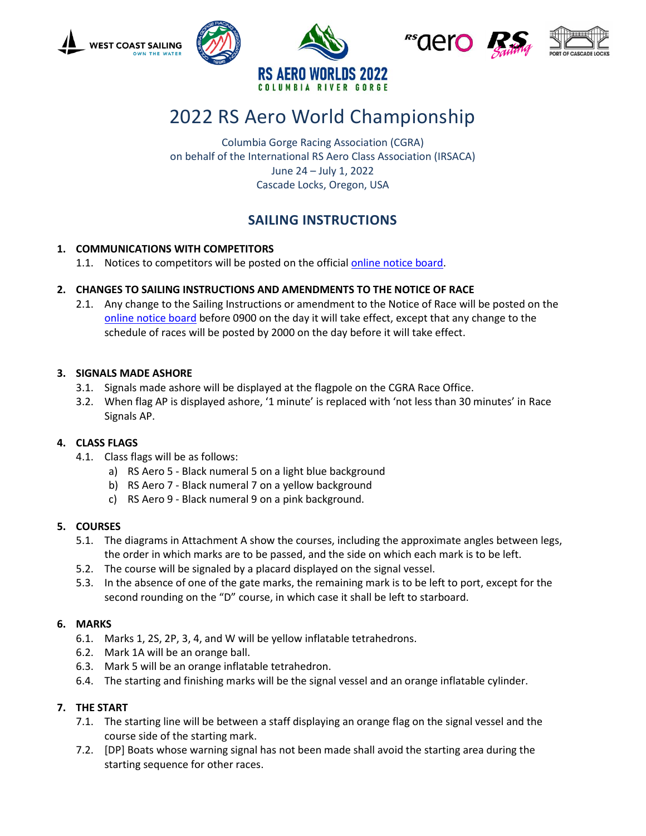

# 2022 RS Aero World Championship

Columbia Gorge Racing Association (CGRA) on behalf of the International RS Aero Class Association (IRSACA) June 24 – July 1, 2022 Cascade Locks, Oregon, USA

# **SAILING INSTRUCTIONS**

# **1. COMMUNICATIONS WITH COMPETITORS**

1.1. Notices to competitors will be posted on the official online [notice board.](https://www.regattanetwork.com/clubmgmt/applet_notice_board.php?regatta_id=23410&es=1)

# **2. CHANGES TO SAILING INSTRUCTIONS AND AMENDMENTS TO THE NOTICE OF RACE**

2.1. Any change to the Sailing Instructions or amendment to the Notice of Race will be posted on the [online notice board](https://www.regattanetwork.com/clubmgmt/applet_notice_board.php?regatta_id=23410&es=1) before 0900 on the day it will take effect, except that any change to the schedule of races will be posted by 2000 on the day before it will take effect.

# **3. SIGNALS MADE ASHORE**

- 3.1. Signals made ashore will be displayed at the flagpole on the CGRA Race Office.
- 3.2. When flag AP is displayed ashore, '1 minute' is replaced with 'not less than 30 minutes' in Race Signals AP.

# **4. CLASS FLAGS**

- 4.1. Class flags will be as follows:
	- a) RS Aero 5 Black numeral 5 on a light blue background
	- b) RS Aero 7 Black numeral 7 on a yellow background
	- c) RS Aero 9 Black numeral 9 on a pink background.

# **5. COURSES**

- 5.1. The diagrams in Attachment A show the courses, including the approximate angles between legs, the order in which marks are to be passed, and the side on which each mark is to be left.
- 5.2. The course will be signaled by a placard displayed on the signal vessel.
- 5.3. In the absence of one of the gate marks, the remaining mark is to be left to port, except for the second rounding on the "D" course, in which case it shall be left to starboard.

# **6. MARKS**

- 6.1. Marks 1, 2S, 2P, 3, 4, and W will be yellow inflatable tetrahedrons.
- 6.2. Mark 1A will be an orange ball.
- 6.3. Mark 5 will be an orange inflatable tetrahedron.
- 6.4. The starting and finishing marks will be the signal vessel and an orange inflatable cylinder.

# **7. THE START**

- 7.1. The starting line will be between a staff displaying an orange flag on the signal vessel and the course side of the starting mark.
- 7.2. [DP] Boats whose warning signal has not been made shall avoid the starting area during the starting sequence for other races.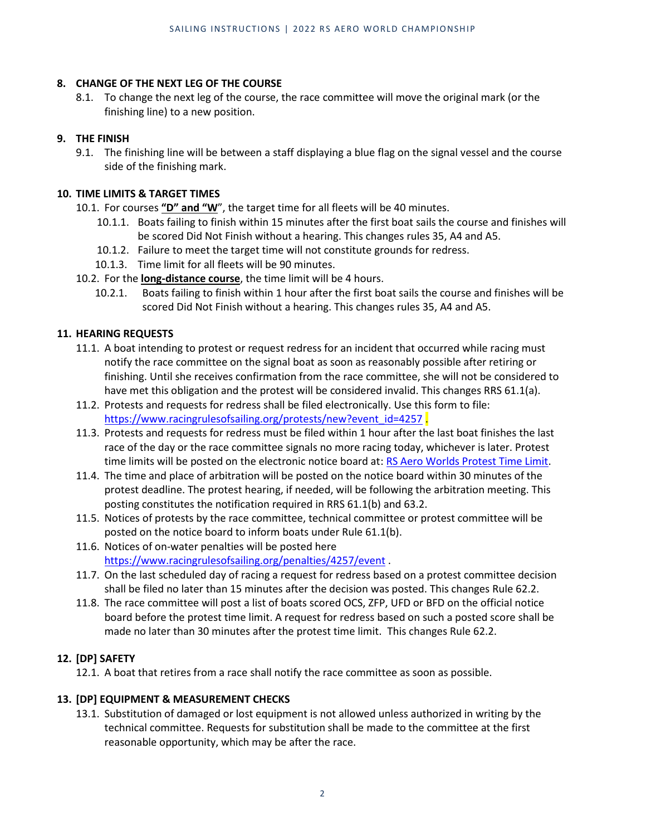#### **8. CHANGE OF THE NEXT LEG OF THE COURSE**

8.1. To change the next leg of the course, the race committee will move the original mark (or the finishing line) to a new position.

#### **9. THE FINISH**

9.1. The finishing line will be between a staff displaying a blue flag on the signal vessel and the course side of the finishing mark.

#### **10. TIME LIMITS & TARGET TIMES**

- 10.1. For courses **"D" and "W**", the target time for all fleets will be 40 minutes.
	- 10.1.1. Boats failing to finish within 15 minutes after the first boat sails the course and finishes will be scored Did Not Finish without a hearing. This changes rules 35, A4 and A5.
	- 10.1.2. Failure to meet the target time will not constitute grounds for redress.
	- 10.1.3. Time limit for all fleets will be 90 minutes.
- 10.2. For the **long-distance course**, the time limit will be 4 hours.
	- 10.2.1. Boats failing to finish within 1 hour after the first boat sails the course and finishes will be scored Did Not Finish without a hearing. This changes rules 35, A4 and A5.

#### **11. HEARING REQUESTS**

- 11.1. A boat intending to protest or request redress for an incident that occurred while racing must notify the race committee on the signal boat as soon as reasonably possible after retiring or finishing. Until she receives confirmation from the race committee, she will not be considered to have met this obligation and the protest will be considered invalid. This changes RRS 61.1(a).
- 11.2. Protests and requests for redress shall be filed electronically. Use this form to file: [https://www.racingrulesofsailing.org/protests/new?event\\_id=4257](https://www.racingrulesofsailing.org/protests/new?event_id=4257) .
- 11.3. Protests and requests for redress must be filed within 1 hour after the last boat finishes the last race of the day or the race committee signals no more racing today, whichever is later. Protest time limits will be posted on the electronic notice board at: [RS Aero Worlds Protest Time Limit.](https://www.regattanetwork.com/clubmgmt/applet_notice_board.php?regatta_id=23410&es=1&type=ptl)
- 11.4. The time and place of arbitration will be posted on the notice board within 30 minutes of the protest deadline. The protest hearing, if needed, will be following the arbitration meeting. This posting constitutes the notification required in RRS 61.1(b) and 63.2.
- 11.5. Notices of protests by the race committee, technical committee or protest committee will be posted on the notice board to inform boats under Rule 61.1(b).
- 11.6. Notices of on-water penalties will be posted here <https://www.racingrulesofsailing.org/penalties/4257/event> .
- 11.7. On the last scheduled day of racing a request for redress based on a protest committee decision shall be filed no later than 15 minutes after the decision was posted. This changes Rule 62.2.
- 11.8. The race committee will post a list of boats scored OCS, ZFP, UFD or BFD on the official notice board before the protest time limit. A request for redress based on such a posted score shall be made no later than 30 minutes after the protest time limit. This changes Rule 62.2.

# **12. [DP] SAFETY**

12.1. A boat that retires from a race shall notify the race committee as soon as possible.

#### **13. [DP] EQUIPMENT & MEASUREMENT CHECKS**

13.1. Substitution of damaged or lost equipment is not allowed unless authorized in writing by the technical committee. Requests for substitution shall be made to the committee at the first reasonable opportunity, which may be after the race.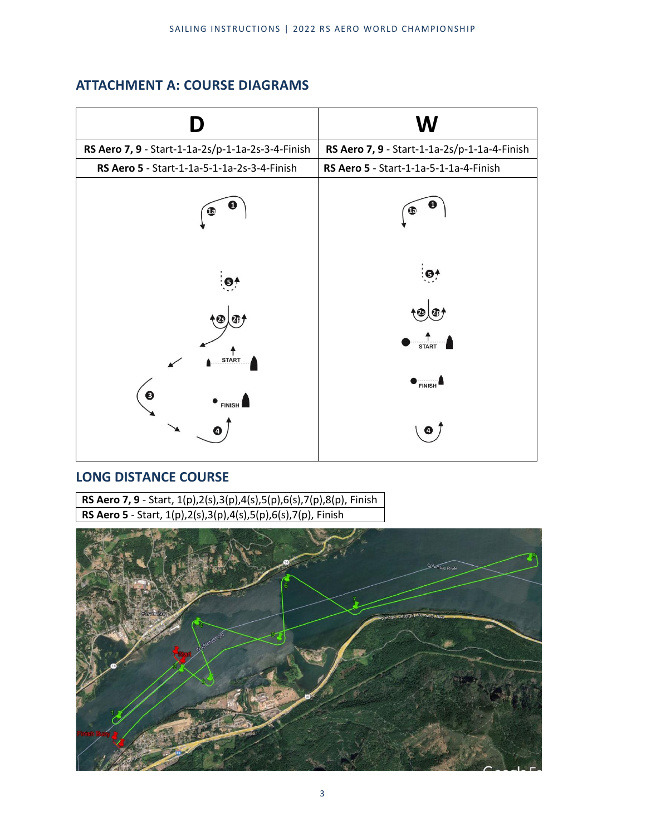# **ATTACHMENT A: COURSE DIAGRAMS**

|                                                   | W                                            |
|---------------------------------------------------|----------------------------------------------|
| RS Aero 7, 9 - Start-1-1a-2s/p-1-1a-2s-3-4-Finish | RS Aero 7, 9 - Start-1-1a-2s/p-1-1a-4-Finish |
| RS Aero 5 - Start-1-1a-5-1-1a-2s-3-4-Finish       | RS Aero 5 - Start-1-1a-5-1-1a-4-Finish       |
| Œ                                                 | υ<br>Œ                                       |
| $\mathbf{\Theta}^{i}$                             | $\ddot{\mathbf{e}}$                          |
| ¢                                                 | $\circledast$                                |
| <b>START</b>                                      | <b>START</b>                                 |
| ❸<br><b>FINISH</b>                                | FINISH                                       |
|                                                   | Ø                                            |

# **LONG DISTANCE COURSE**

**RS Aero 7, 9** - Start, 1(p),2(s),3(p),4(s),5(p),6(s),7(p),8(p), Finish **RS Aero 5** - Start, 1(p),2(s),3(p),4(s),5(p),6(s),7(p), Finish